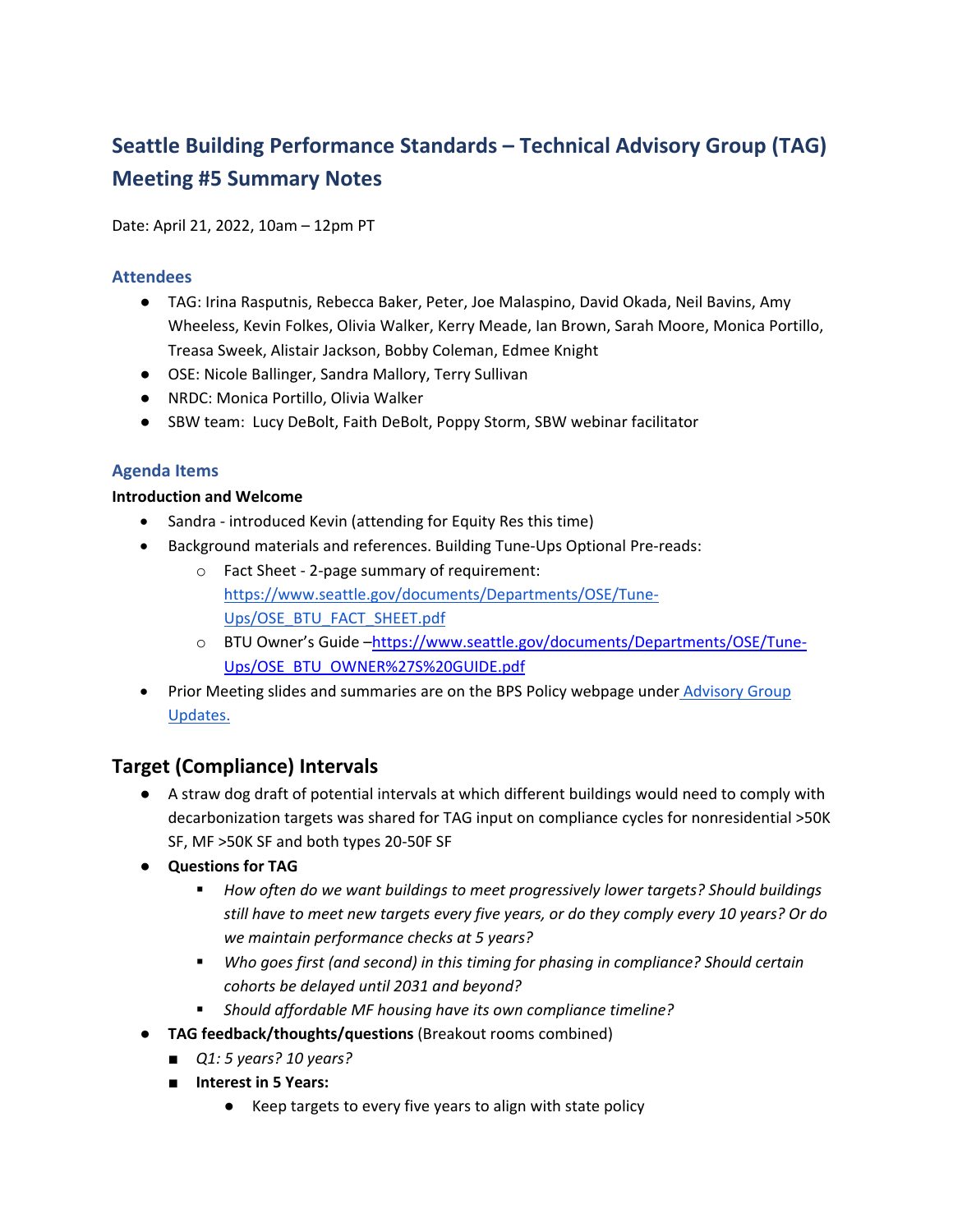# **Seattle Building Performance Standards – Technical Advisory Group (TAG) Meeting #5 Summary Notes**

Date: April 21, 2022, 10am – 12pm PT

#### **Attendees**

- TAG: Irina Rasputnis, Rebecca Baker, Peter, Joe Malaspino, David Okada, Neil Bavins, Amy Wheeless, Kevin Folkes, Olivia Walker, Kerry Meade, Ian Brown, Sarah Moore, Monica Portillo, Treasa Sweek, Alistair Jackson, Bobby Coleman, Edmee Knight
- OSE: Nicole Ballinger, Sandra Mallory, Terry Sullivan
- NRDC: Monica Portillo, Olivia Walker
- SBW team: Lucy DeBolt, Faith DeBolt, Poppy Storm, SBW webinar facilitator

#### **Agenda Items**

#### **Introduction and Welcome**

- Sandra introduced Kevin (attending for Equity Res this time)
- Background materials and references. Building Tune-Ups Optional Pre-reads:
	- o Fact Sheet ‐ 2‐page summary of requirement: https://www.seattle.gov/documents/Departments/OSE/Tune‐ Ups/OSE\_BTU\_FACT\_SHEET.pdf
	- o BTU Owner's Guide –https://www.seattle.gov/documents/Departments/OSE/Tune‐ Ups/OSE\_BTU\_OWNER%27S%20GUIDE.pdf
- Prior Meeting slides and summaries are on the BPS Policy webpage under Advisory Group Updates.

## **Target (Compliance) Intervals**

- A straw dog draft of potential intervals at which different buildings would need to comply with decarbonization targets was shared for TAG input on compliance cycles for nonresidential >50K SF, MF >50K SF and both types 20‐50F SF
- **Questions for TAG**
	- *How often do we want buildings to meet progressively lower targets? Should buildings still have to meet new targets every five years, or do they comply every 10 years? Or do we maintain performance checks at 5 years?*
	- *Who goes first (and second) in this timing for phasing in compliance? Should certain cohorts be delayed until 2031 and beyond?*
	- *Should affordable MF housing have its own compliance timeline?*
- **TAG feedback/thoughts/questions** (Breakout rooms combined)
	- *Q1: 5 years*? *10 years*?
	- **Interest in 5 Years:**
		- Keep targets to every five years to align with state policy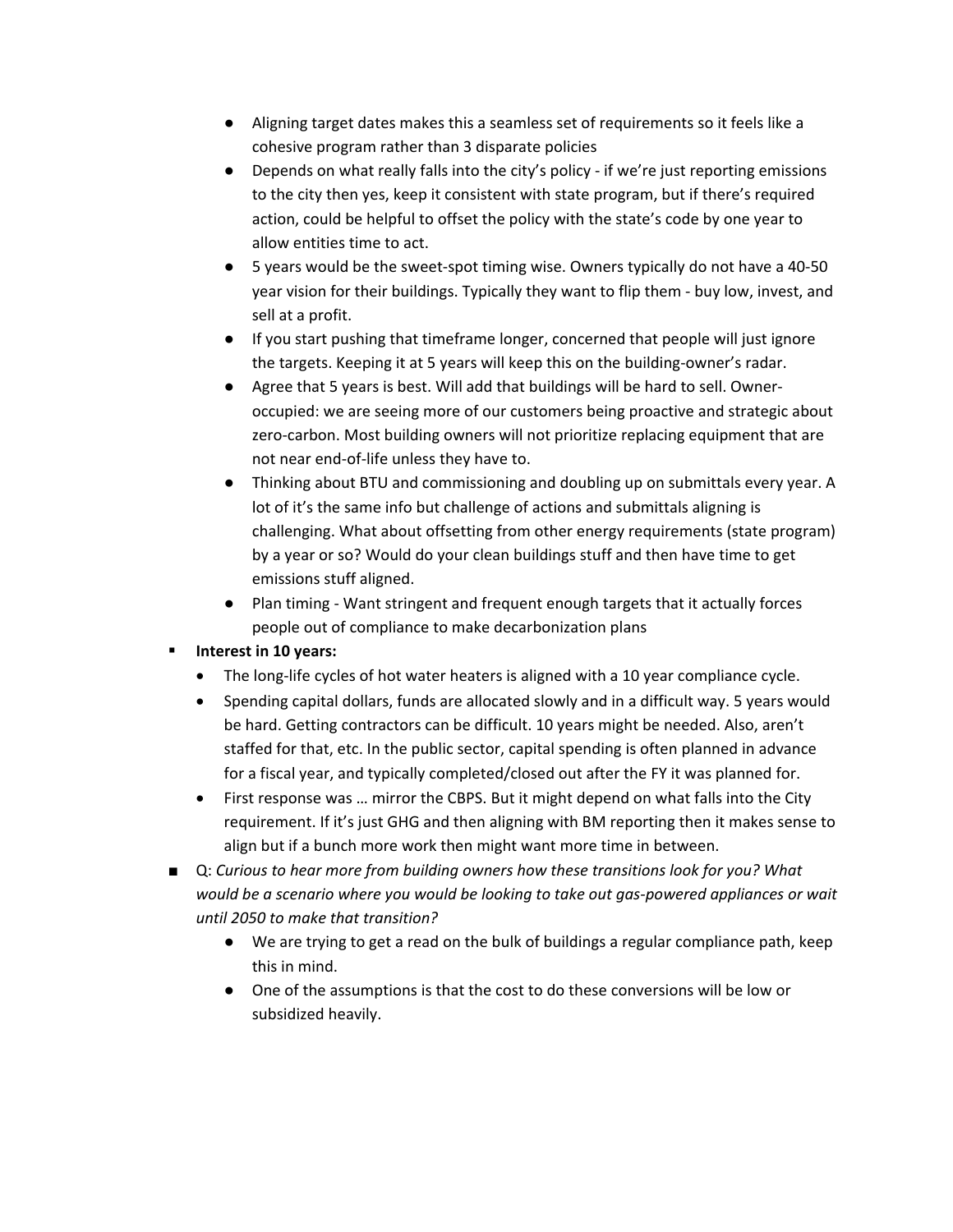- Aligning target dates makes this a seamless set of requirements so it feels like a cohesive program rather than 3 disparate policies
- Depends on what really falls into the city's policy if we're just reporting emissions to the city then yes, keep it consistent with state program, but if there's required action, could be helpful to offset the policy with the state's code by one year to allow entities time to act.
- 5 years would be the sweet-spot timing wise. Owners typically do not have a 40-50 year vision for their buildings. Typically they want to flip them ‐ buy low, invest, and sell at a profit.
- If you start pushing that timeframe longer, concerned that people will just ignore the targets. Keeping it at 5 years will keep this on the building‐owner's radar.
- Agree that 5 years is best. Will add that buildings will be hard to sell. Owneroccupied: we are seeing more of our customers being proactive and strategic about zero-carbon. Most building owners will not prioritize replacing equipment that are not near end‐of‐life unless they have to.
- Thinking about BTU and commissioning and doubling up on submittals every year. A lot of it's the same info but challenge of actions and submittals aligning is challenging. What about offsetting from other energy requirements (state program) by a year or so? Would do your clean buildings stuff and then have time to get emissions stuff aligned.
- Plan timing Want stringent and frequent enough targets that it actually forces people out of compliance to make decarbonization plans

## **Interest in 10 years:**

- The long-life cycles of hot water heaters is aligned with a 10 year compliance cycle.
- Spending capital dollars, funds are allocated slowly and in a difficult way. 5 years would be hard. Getting contractors can be difficult. 10 years might be needed. Also, aren't staffed for that, etc. In the public sector, capital spending is often planned in advance for a fiscal year, and typically completed/closed out after the FY it was planned for.
- First response was … mirror the CBPS. But it might depend on what falls into the City requirement. If it's just GHG and then aligning with BM reporting then it makes sense to align but if a bunch more work then might want more time in between.
- Q: *Curious to hear more from building owners how these transitions look for you? What would be a scenario where you would be looking to take out gas‐powered appliances or wait until 2050 to make that transition?*
	- We are trying to get a read on the bulk of buildings a regular compliance path, keep this in mind.
	- One of the assumptions is that the cost to do these conversions will be low or subsidized heavily.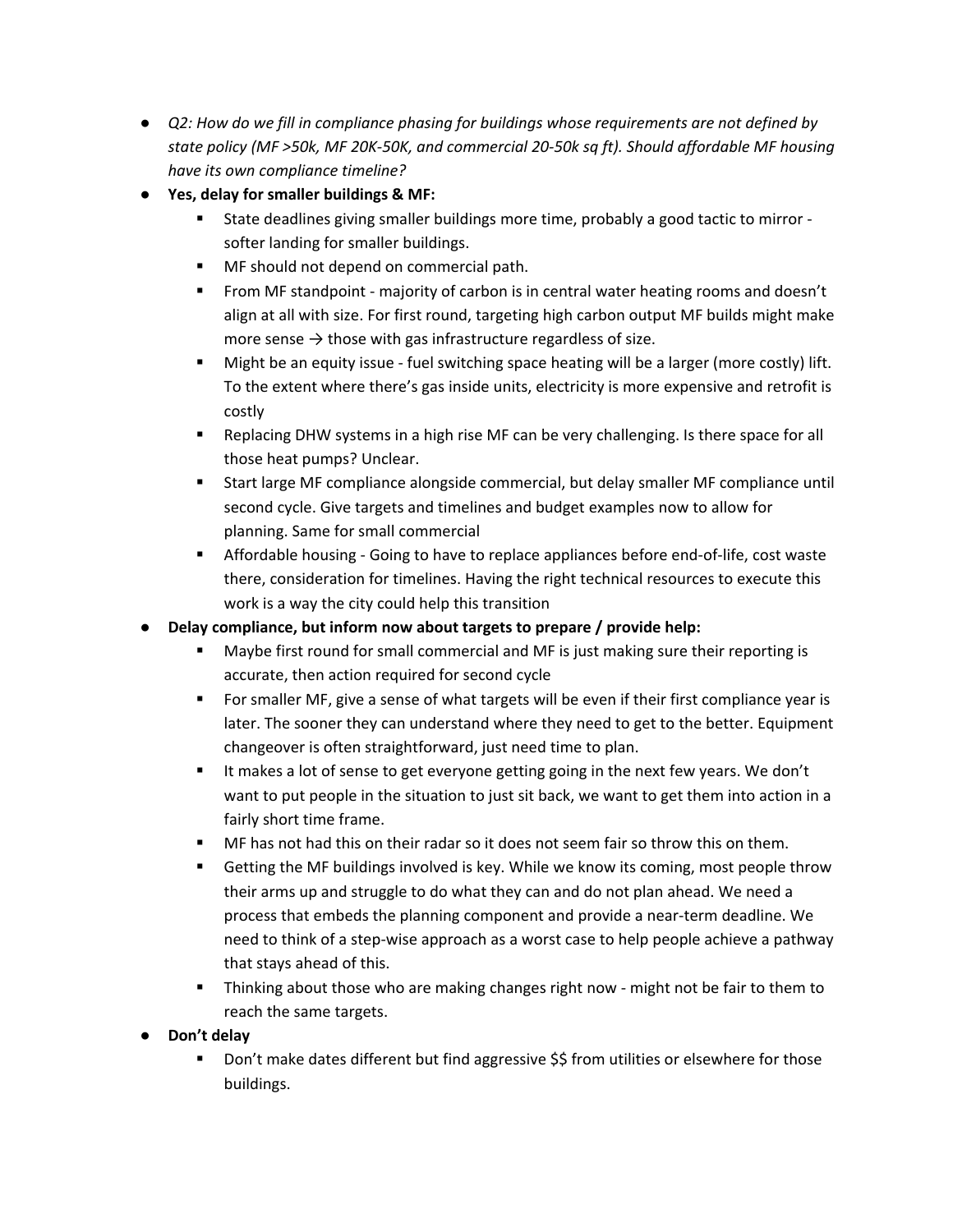- *Q2: How do we fill in compliance phasing for buildings whose requirements are not defined by* state policy (MF >50k, MF 20K-50K, and commercial 20-50k sq ft). Should affordable MF housing *have its own compliance timeline?*
- **Yes, delay for smaller buildings & MF:**
	- State deadlines giving smaller buildings more time, probably a good tactic to mirror softer landing for smaller buildings.
	- **MF** should not depend on commercial path.
	- From MF standpoint majority of carbon is in central water heating rooms and doesn't align at all with size. For first round, targeting high carbon output MF builds might make more sense  $\rightarrow$  those with gas infrastructure regardless of size.
	- Might be an equity issue fuel switching space heating will be a larger (more costly) lift. To the extent where there's gas inside units, electricity is more expensive and retrofit is costly
	- **EXE** Replacing DHW systems in a high rise MF can be very challenging. Is there space for all those heat pumps? Unclear.
	- Start large MF compliance alongside commercial, but delay smaller MF compliance until second cycle. Give targets and timelines and budget examples now to allow for planning. Same for small commercial
	- Affordable housing Going to have to replace appliances before end-of-life, cost waste there, consideration for timelines. Having the right technical resources to execute this work is a way the city could help this transition
- **Delay compliance, but inform now about targets to prepare / provide help:** 
	- Maybe first round for small commercial and MF is just making sure their reporting is accurate, then action required for second cycle
	- For smaller MF, give a sense of what targets will be even if their first compliance year is later. The sooner they can understand where they need to get to the better. Equipment changeover is often straightforward, just need time to plan.
	- It makes a lot of sense to get everyone getting going in the next few years. We don't want to put people in the situation to just sit back, we want to get them into action in a fairly short time frame.
	- MF has not had this on their radar so it does not seem fair so throw this on them.
	- **EXECT** Getting the MF buildings involved is key. While we know its coming, most people throw their arms up and struggle to do what they can and do not plan ahead. We need a process that embeds the planning component and provide a near‐term deadline. We need to think of a step‐wise approach as a worst case to help people achieve a pathway that stays ahead of this.
	- Thinking about those who are making changes right now might not be fair to them to reach the same targets.
- **Don't delay**
	- Don't make dates different but find aggressive \$\$ from utilities or elsewhere for those buildings.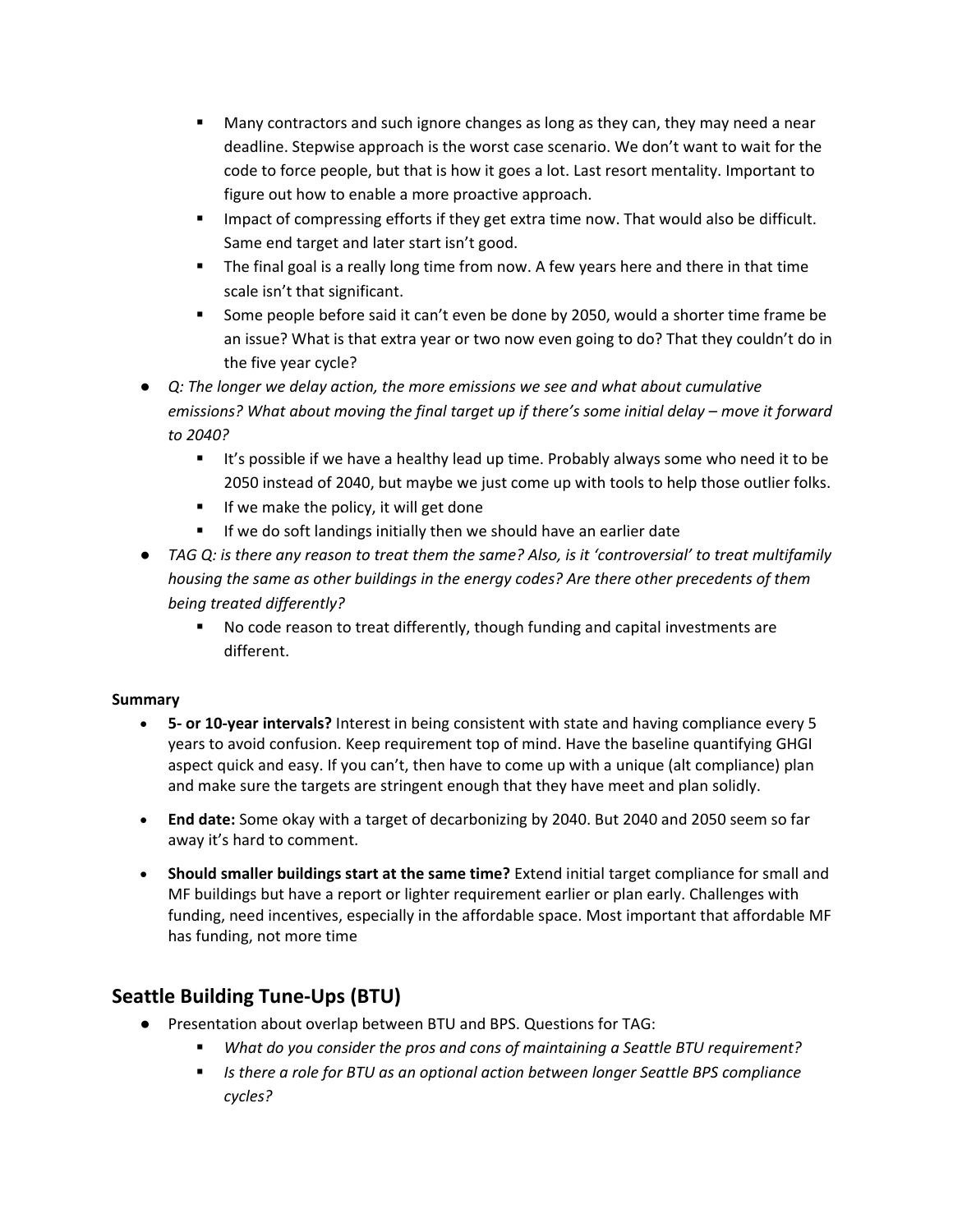- Many contractors and such ignore changes as long as they can, they may need a near deadline. Stepwise approach is the worst case scenario. We don't want to wait for the code to force people, but that is how it goes a lot. Last resort mentality. Important to figure out how to enable a more proactive approach.
- **IMPACT OF COMPTAGE IMPACT IS COMPT ASSET UP:** Impact of compressing efforts if they get cannot also be difficult. Same end target and later start isn't good.
- The final goal is a really long time from now. A few years here and there in that time scale isn't that significant.
- Some people before said it can't even be done by 2050, would a shorter time frame be an issue? What is that extra year or two now even going to do? That they couldn't do in the five year cycle?
- *Q: The longer we delay action, the more emissions we see and what about cumulative emissions? What about moving the final target up if there's some initial delay – move it forward to 2040?* 
	- It's possible if we have a healthy lead up time. Probably always some who need it to be 2050 instead of 2040, but maybe we just come up with tools to help those outlier folks.
	- $\blacksquare$  If we make the policy, it will get done
	- **If we do soft landings initially then we should have an earlier date**
- TAG Q: is there any reason to treat them the same? Also, is it 'controversial' to treat multifamily *housing the same as other buildings in the energy codes? Are there other precedents of them being treated differently?*
	- No code reason to treat differently, though funding and capital investments are different.

#### **Summary**

- **5‐ or 10‐year intervals?** Interest in being consistent with state and having compliance every 5 years to avoid confusion. Keep requirement top of mind. Have the baseline quantifying GHGI aspect quick and easy. If you can't, then have to come up with a unique (alt compliance) plan and make sure the targets are stringent enough that they have meet and plan solidly.
- **End date:** Some okay with a target of decarbonizing by 2040. But 2040 and 2050 seem so far away it's hard to comment.
- **Should smaller buildings start at the same time?** Extend initial target compliance for small and MF buildings but have a report or lighter requirement earlier or plan early. Challenges with funding, need incentives, especially in the affordable space. Most important that affordable MF has funding, not more time

# **Seattle Building Tune‐Ups (BTU)**

- Presentation about overlap between BTU and BPS. Questions for TAG:
	- *What do you consider the pros and cons of maintaining a Seattle BTU requirement?*
	- *Is there a role for BTU as an optional action between longer Seattle BPS compliance cycles?*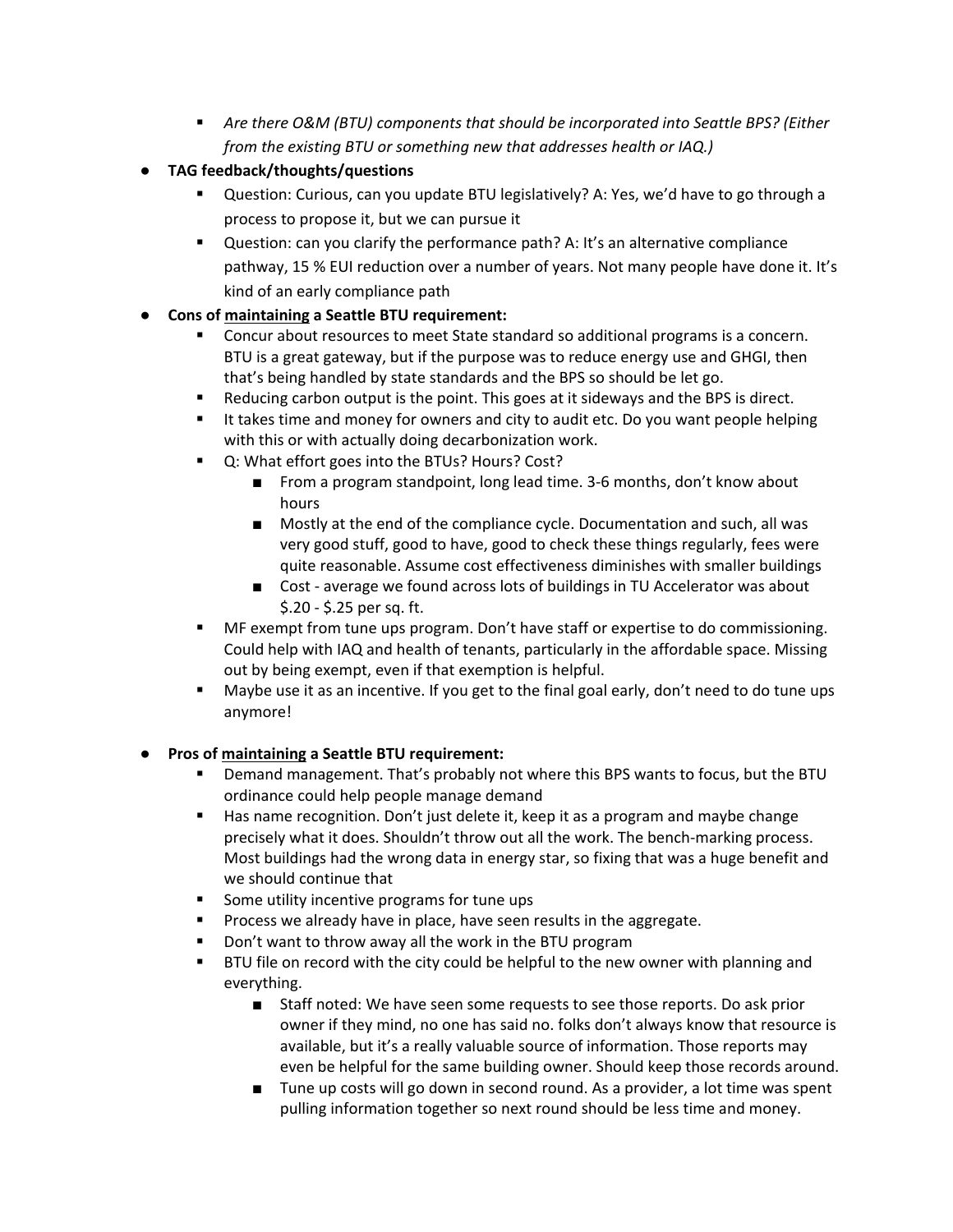- *Are there O&M (BTU) components that should be incorporated into Seattle BPS? (Either from the existing BTU or something new that addresses health or IAQ.)*
- **TAG feedback/thoughts/questions** 
	- Question: Curious, can you update BTU legislatively? A: Yes, we'd have to go through a process to propose it, but we can pursue it
	- Question: can you clarify the performance path? A: It's an alternative compliance pathway, 15 % EUI reduction over a number of years. Not many people have done it. It's kind of an early compliance path
- **Cons of maintaining a Seattle BTU requirement:**
	- Concur about resources to meet State standard so additional programs is a concern. BTU is a great gateway, but if the purpose was to reduce energy use and GHGI, then that's being handled by state standards and the BPS so should be let go.
	- Reducing carbon output is the point. This goes at it sideways and the BPS is direct.
	- It takes time and money for owners and city to audit etc. Do you want people helping with this or with actually doing decarbonization work.
	- Q: What effort goes into the BTUs? Hours? Cost?
		- From a program standpoint, long lead time. 3-6 months, don't know about hours
		- Mostly at the end of the compliance cycle. Documentation and such, all was very good stuff, good to have, good to check these things regularly, fees were quite reasonable. Assume cost effectiveness diminishes with smaller buildings
		- Cost average we found across lots of buildings in TU Accelerator was about \$.20 ‐ \$.25 per sq. ft.
	- MF exempt from tune ups program. Don't have staff or expertise to do commissioning. Could help with IAQ and health of tenants, particularly in the affordable space. Missing out by being exempt, even if that exemption is helpful.
	- Maybe use it as an incentive. If you get to the final goal early, don't need to do tune ups anymore!

## ● **Pros of maintaining a Seattle BTU requirement:**

- Demand management. That's probably not where this BPS wants to focus, but the BTU ordinance could help people manage demand
- Has name recognition. Don't just delete it, keep it as a program and maybe change precisely what it does. Shouldn't throw out all the work. The bench-marking process. Most buildings had the wrong data in energy star, so fixing that was a huge benefit and we should continue that
- Some utility incentive programs for tune ups
- Process we already have in place, have seen results in the aggregate.
- Don't want to throw away all the work in the BTU program
- **BTU file on record with the city could be helpful to the new owner with planning and** everything.
	- Staff noted: We have seen some requests to see those reports. Do ask prior owner if they mind, no one has said no. folks don't always know that resource is available, but it's a really valuable source of information. Those reports may even be helpful for the same building owner. Should keep those records around.
	- Tune up costs will go down in second round. As a provider, a lot time was spent pulling information together so next round should be less time and money.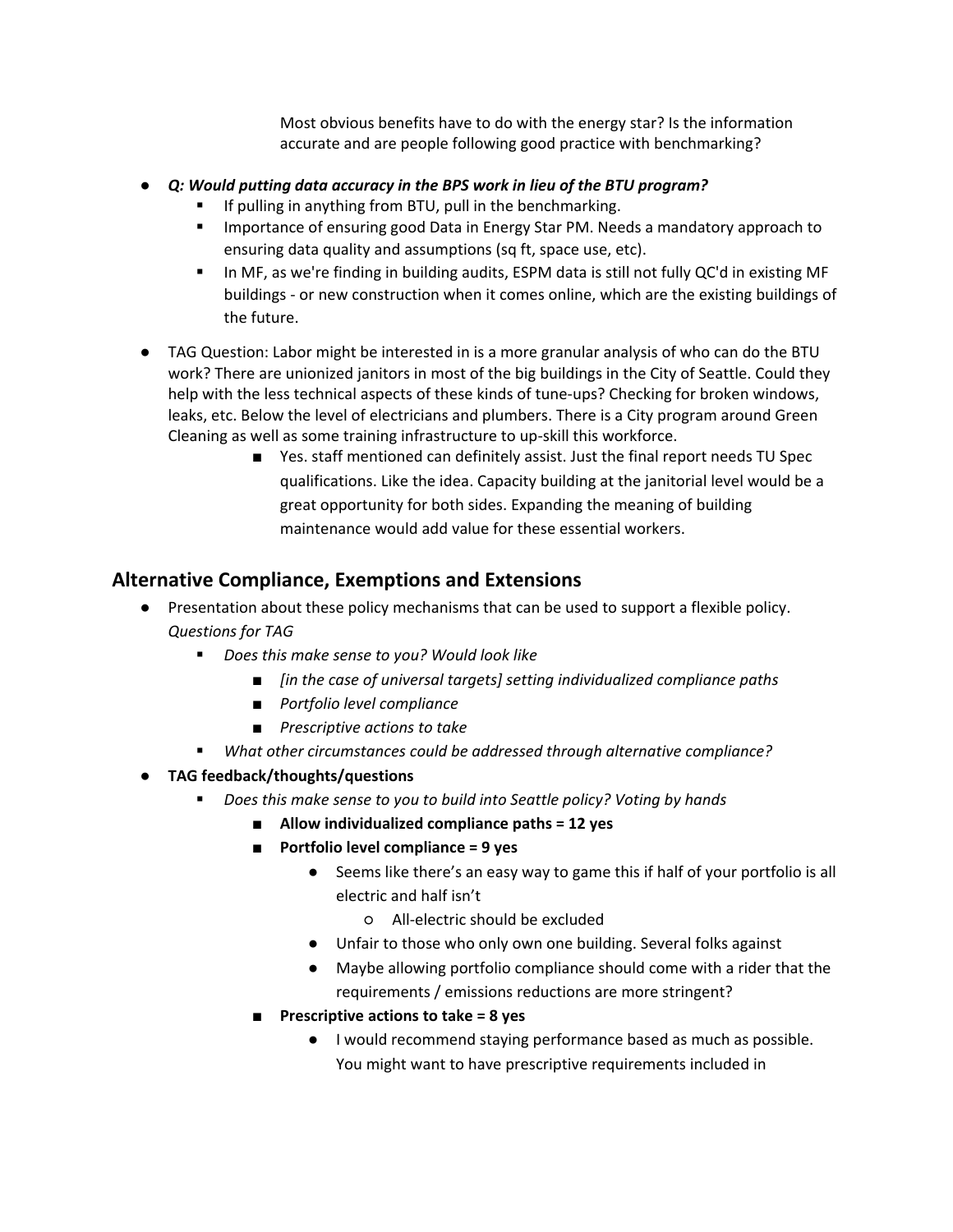Most obvious benefits have to do with the energy star? Is the information accurate and are people following good practice with benchmarking?

- *Q: Would putting data accuracy in the BPS work in lieu of the BTU program?*
	- **If pulling in anything from BTU, pull in the benchmarking.**
	- **IMPORTANCE IMPORTANCE IS A UPS AT A THE IMPORTANCE IN A THE IMPORT ASSET IS A THE IMPORT A THE IMPORTANCE IS A** ensuring data quality and assumptions (sq ft, space use, etc).
	- **In MF, as we're finding in building audits, ESPM data is still not fully QC'd in existing MF** buildings ‐ or new construction when it comes online, which are the existing buildings of the future.
- TAG Question: Labor might be interested in is a more granular analysis of who can do the BTU work? There are unionized janitors in most of the big buildings in the City of Seattle. Could they help with the less technical aspects of these kinds of tune-ups? Checking for broken windows, leaks, etc. Below the level of electricians and plumbers. There is a City program around Green Cleaning as well as some training infrastructure to up‐skill this workforce.
	- Yes. staff mentioned can definitely assist. Just the final report needs TU Spec qualifications. Like the idea. Capacity building at the janitorial level would be a great opportunity for both sides. Expanding the meaning of building maintenance would add value for these essential workers.

## **Alternative Compliance, Exemptions and Extensions**

- Presentation about these policy mechanisms that can be used to support a flexible policy. *Questions for TAG*
	- *Does this make sense to you? Would look like*
		- *[in the case of universal targets] setting individualized compliance paths*
		- *Portfolio level compliance*
		- *Prescriptive actions to take*
	- *What other circumstances could be addressed through alternative compliance?*
- **TAG feedback/thoughts/questions**
	- *Does this make sense to you to build into Seattle policy? Voting by hands*
		- **Allow individualized compliance paths = 12 yes**
		- **Portfolio level compliance = 9 yes**
			- Seems like there's an easy way to game this if half of your portfolio is all electric and half isn't
				- All‐electric should be excluded
			- Unfair to those who only own one building. Several folks against
			- Maybe allowing portfolio compliance should come with a rider that the requirements / emissions reductions are more stringent?
		- **Prescriptive actions to take = 8 yes**
			- I would recommend staying performance based as much as possible. You might want to have prescriptive requirements included in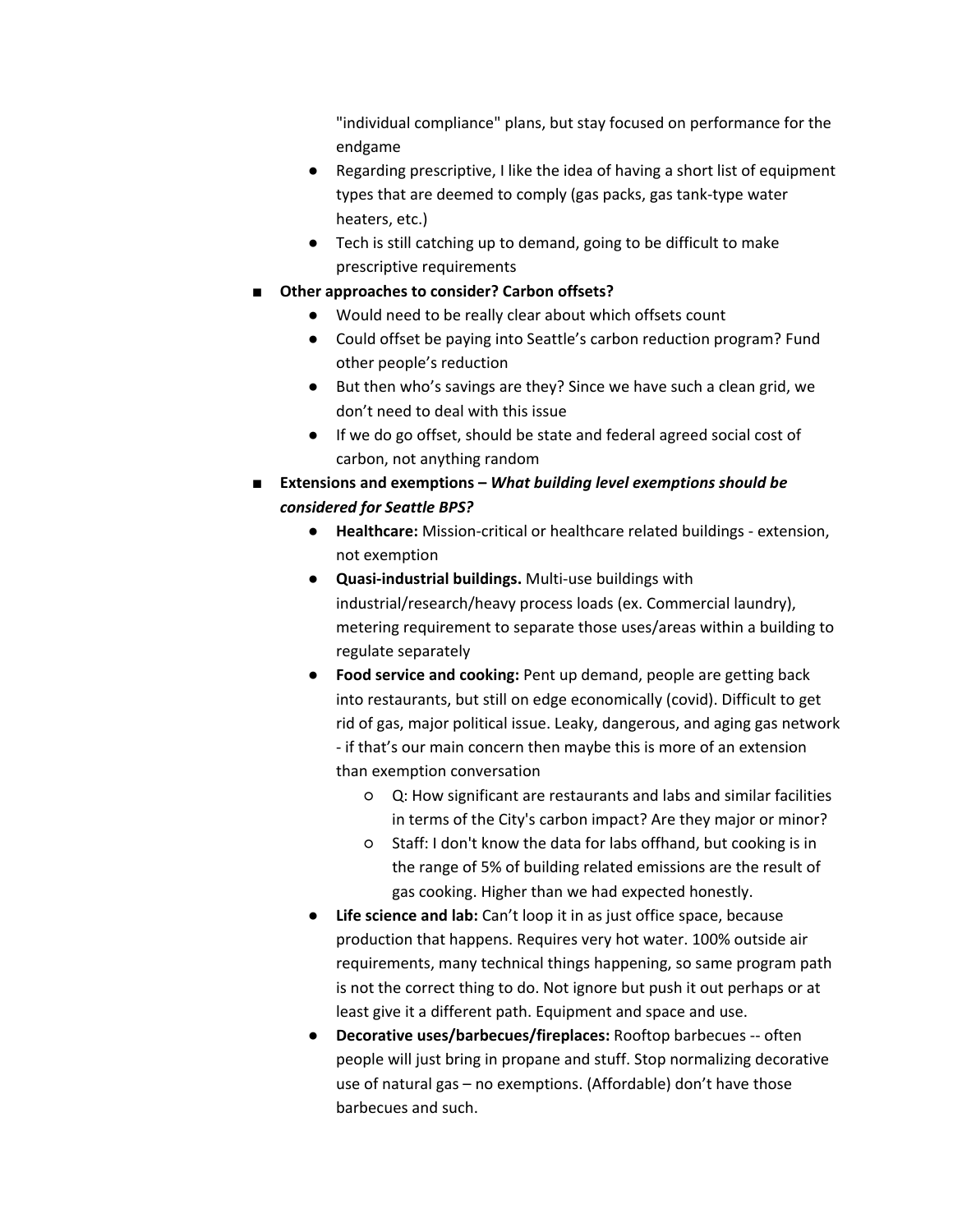"individual compliance" plans, but stay focused on performance for the endgame

- Regarding prescriptive, I like the idea of having a short list of equipment types that are deemed to comply (gas packs, gas tank‐type water heaters, etc.)
- Tech is still catching up to demand, going to be difficult to make prescriptive requirements
- **Other approaches to consider? Carbon offsets?**
	- Would need to be really clear about which offsets count
	- Could offset be paying into Seattle's carbon reduction program? Fund other people's reduction
	- But then who's savings are they? Since we have such a clean grid, we don't need to deal with this issue
	- If we do go offset, should be state and federal agreed social cost of carbon, not anything random
- **Extensions and exemptions –** *What building level exemptions should be considered for Seattle BPS?*
	- **Healthcare:** Mission‐critical or healthcare related buildings ‐ extension, not exemption
	- **Quasi‐industrial buildings.** Multi‐use buildings with industrial/research/heavy process loads (ex. Commercial laundry), metering requirement to separate those uses/areas within a building to regulate separately
	- **Food service and cooking:** Pent up demand, people are getting back into restaurants, but still on edge economically (covid). Difficult to get rid of gas, major political issue. Leaky, dangerous, and aging gas network ‐ if that's our main concern then maybe this is more of an extension than exemption conversation
		- Q: How significant are restaurants and labs and similar facilities in terms of the City's carbon impact? Are they major or minor?
		- Staff: I don't know the data for labs offhand, but cooking is in the range of 5% of building related emissions are the result of gas cooking. Higher than we had expected honestly.
	- **Life science and lab:** Can't loop it in as just office space, because production that happens. Requires very hot water. 100% outside air requirements, many technical things happening, so same program path is not the correct thing to do. Not ignore but push it out perhaps or at least give it a different path. Equipment and space and use.
	- **Decorative uses/barbecues/fireplaces:** Rooftop barbecues ‐‐ often people will just bring in propane and stuff. Stop normalizing decorative use of natural gas – no exemptions. (Affordable) don't have those barbecues and such.